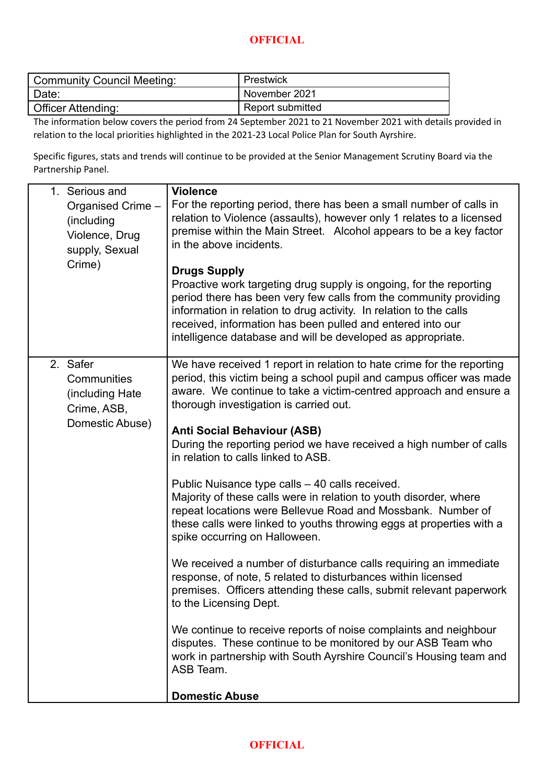## **OFFICIAL**

| Community Council Meeting: | Prestwick        |
|----------------------------|------------------|
| ' Date:                    | November 2021    |
| Officer Attending:         | Report submitted |

The information below covers the period from 24 September 2021 to 21 November 2021 with details provided in relation to the local priorities highlighted in the 2021-23 Local Police Plan for South Ayrshire.

Specific figures, stats and trends will continue to be provided at the Senior Management Scrutiny Board via the Partnership Panel.

| 1. Serious and<br>Organised Crime -<br>(including<br>Violence, Drug<br>supply, Sexual<br>Crime) | <b>Violence</b><br>For the reporting period, there has been a small number of calls in<br>relation to Violence (assaults), however only 1 relates to a licensed<br>premise within the Main Street. Alcohol appears to be a key factor<br>in the above incidents.<br><b>Drugs Supply</b><br>Proactive work targeting drug supply is ongoing, for the reporting<br>period there has been very few calls from the community providing<br>information in relation to drug activity. In relation to the calls<br>received, information has been pulled and entered into our<br>intelligence database and will be developed as appropriate.                                                                                                                                                                                                                                                                                                                                                                                                                                                                                                                                                                 |
|-------------------------------------------------------------------------------------------------|-------------------------------------------------------------------------------------------------------------------------------------------------------------------------------------------------------------------------------------------------------------------------------------------------------------------------------------------------------------------------------------------------------------------------------------------------------------------------------------------------------------------------------------------------------------------------------------------------------------------------------------------------------------------------------------------------------------------------------------------------------------------------------------------------------------------------------------------------------------------------------------------------------------------------------------------------------------------------------------------------------------------------------------------------------------------------------------------------------------------------------------------------------------------------------------------------------|
| 2. Safer<br>Communities<br>(including Hate<br>Crime, ASB,<br>Domestic Abuse)                    | We have received 1 report in relation to hate crime for the reporting<br>period, this victim being a school pupil and campus officer was made<br>aware. We continue to take a victim-centred approach and ensure a<br>thorough investigation is carried out.<br><b>Anti Social Behaviour (ASB)</b><br>During the reporting period we have received a high number of calls<br>in relation to calls linked to ASB.<br>Public Nuisance type calls - 40 calls received.<br>Majority of these calls were in relation to youth disorder, where<br>repeat locations were Bellevue Road and Mossbank. Number of<br>these calls were linked to youths throwing eggs at properties with a<br>spike occurring on Halloween.<br>We received a number of disturbance calls requiring an immediate<br>response, of note, 5 related to disturbances within licensed<br>premises. Officers attending these calls, submit relevant paperwork<br>to the Licensing Dept.<br>We continue to receive reports of noise complaints and neighbour<br>disputes. These continue to be monitored by our ASB Team who<br>work in partnership with South Ayrshire Council's Housing team and<br>ASB Team.<br><b>Domestic Abuse</b> |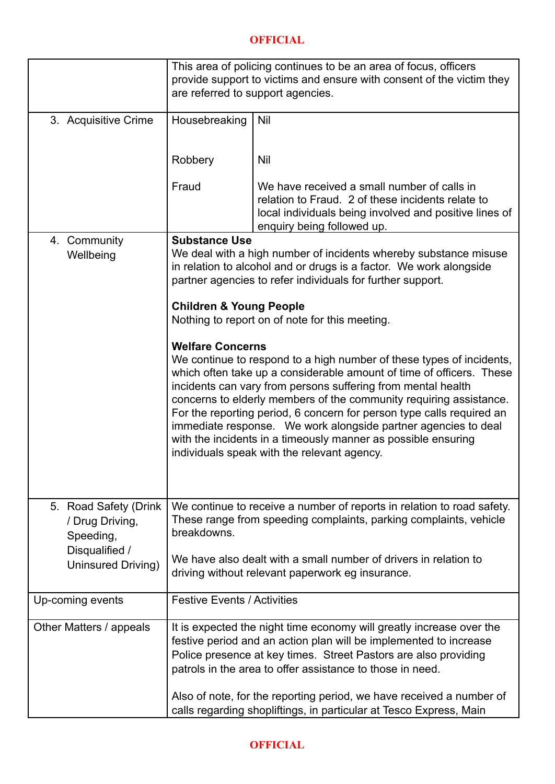## **OFFICIAL**

|                                                                         | This area of policing continues to be an area of focus, officers<br>provide support to victims and ensure with consent of the victim they<br>are referred to support agencies.                                                                                            |                                                                                                                                                                                                                                                                                                                                                                                                                                                                                                                                               |  |
|-------------------------------------------------------------------------|---------------------------------------------------------------------------------------------------------------------------------------------------------------------------------------------------------------------------------------------------------------------------|-----------------------------------------------------------------------------------------------------------------------------------------------------------------------------------------------------------------------------------------------------------------------------------------------------------------------------------------------------------------------------------------------------------------------------------------------------------------------------------------------------------------------------------------------|--|
|                                                                         |                                                                                                                                                                                                                                                                           |                                                                                                                                                                                                                                                                                                                                                                                                                                                                                                                                               |  |
| 3. Acquisitive Crime                                                    | Housebreaking                                                                                                                                                                                                                                                             | Nil                                                                                                                                                                                                                                                                                                                                                                                                                                                                                                                                           |  |
|                                                                         | Robbery                                                                                                                                                                                                                                                                   | Nil                                                                                                                                                                                                                                                                                                                                                                                                                                                                                                                                           |  |
|                                                                         | Fraud                                                                                                                                                                                                                                                                     | We have received a small number of calls in<br>relation to Fraud. 2 of these incidents relate to<br>local individuals being involved and positive lines of<br>enquiry being followed up.                                                                                                                                                                                                                                                                                                                                                      |  |
| 4. Community                                                            | <b>Substance Use</b>                                                                                                                                                                                                                                                      |                                                                                                                                                                                                                                                                                                                                                                                                                                                                                                                                               |  |
| Wellbeing                                                               | We deal with a high number of incidents whereby substance misuse<br>in relation to alcohol and or drugs is a factor. We work alongside<br>partner agencies to refer individuals for further support.                                                                      |                                                                                                                                                                                                                                                                                                                                                                                                                                                                                                                                               |  |
|                                                                         | <b>Children &amp; Young People</b><br>Nothing to report on of note for this meeting.                                                                                                                                                                                      |                                                                                                                                                                                                                                                                                                                                                                                                                                                                                                                                               |  |
|                                                                         | <b>Welfare Concerns</b>                                                                                                                                                                                                                                                   | We continue to respond to a high number of these types of incidents,<br>which often take up a considerable amount of time of officers. These<br>incidents can vary from persons suffering from mental health<br>concerns to elderly members of the community requiring assistance.<br>For the reporting period, 6 concern for person type calls required an<br>immediate response. We work alongside partner agencies to deal<br>with the incidents in a timeously manner as possible ensuring<br>individuals speak with the relevant agency. |  |
| 5. Road Safety (Drink<br>/ Drug Driving,<br>Speeding,<br>Disqualified / | We continue to receive a number of reports in relation to road safety.<br>These range from speeding complaints, parking complaints, vehicle<br>breakdowns.<br>We have also dealt with a small number of drivers in relation to                                            |                                                                                                                                                                                                                                                                                                                                                                                                                                                                                                                                               |  |
| <b>Uninsured Driving)</b>                                               |                                                                                                                                                                                                                                                                           | driving without relevant paperwork eg insurance.                                                                                                                                                                                                                                                                                                                                                                                                                                                                                              |  |
| Up-coming events                                                        | <b>Festive Events / Activities</b>                                                                                                                                                                                                                                        |                                                                                                                                                                                                                                                                                                                                                                                                                                                                                                                                               |  |
| Other Matters / appeals                                                 | It is expected the night time economy will greatly increase over the<br>festive period and an action plan will be implemented to increase<br>Police presence at key times. Street Pastors are also providing<br>patrols in the area to offer assistance to those in need. |                                                                                                                                                                                                                                                                                                                                                                                                                                                                                                                                               |  |
|                                                                         |                                                                                                                                                                                                                                                                           | Also of note, for the reporting period, we have received a number of<br>calls regarding shopliftings, in particular at Tesco Express, Main                                                                                                                                                                                                                                                                                                                                                                                                    |  |

## **OFFICIAL**